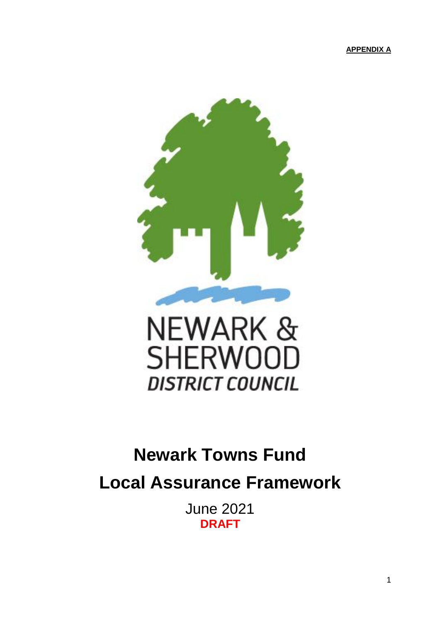**APPENDIX A**



# **DISTRICT COUNCIL**

## **Newark Towns Fund**

**Local Assurance Framework**

June 2021 **DRAFT**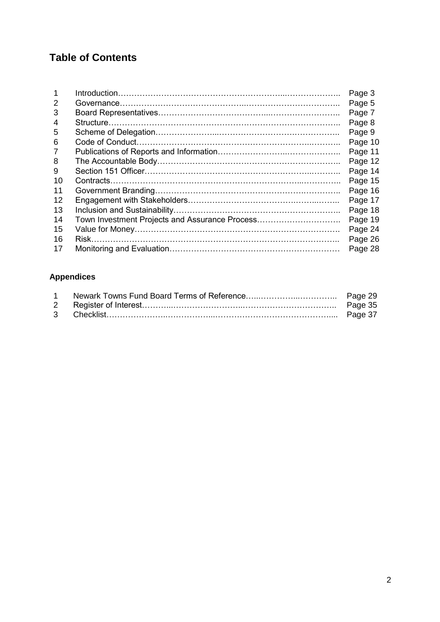## **Table of Contents**

|    |                                                | Page 3  |
|----|------------------------------------------------|---------|
| 2  |                                                | Page 5  |
| 3  |                                                | Page 7  |
| 4  |                                                | Page 8  |
| 5  |                                                | Page 9  |
| 6  |                                                | Page 10 |
| 7  |                                                | Page 11 |
| 8  |                                                | Page 12 |
| 9  |                                                | Page 14 |
| 10 |                                                | Page 15 |
| 11 |                                                | Page 16 |
| 12 |                                                | Page 17 |
| 13 |                                                | Page 18 |
| 14 | Town Investment Projects and Assurance Process | Page 19 |
| 15 |                                                | Page 24 |
| 16 |                                                | Page 26 |
| 17 |                                                | Page 28 |

## **Appendices**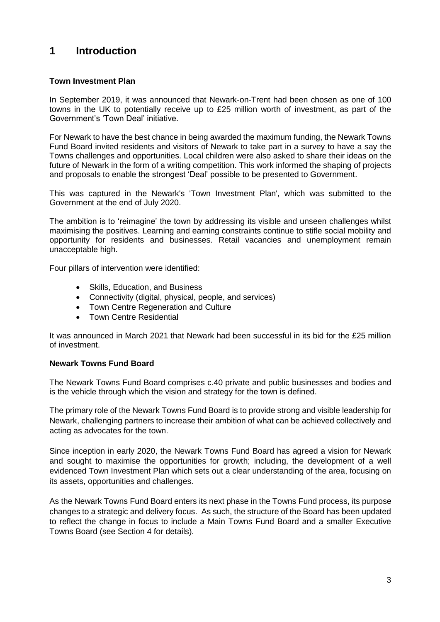## **1 Introduction**

#### **Town Investment Plan**

In September 2019, it was announced that Newark-on-Trent had been chosen as one of 100 towns in the UK to potentially receive up to £25 million worth of investment, as part of the Government's 'Town Deal' initiative.

For Newark to have the best chance in being awarded the maximum funding, the Newark Towns Fund Board invited residents and visitors of Newark to take part in a survey to have a say the Towns challenges and opportunities. Local children were also asked to share their ideas on the future of Newark in the form of a writing competition. This work informed the shaping of projects and proposals to enable the strongest 'Deal' possible to be presented to Government.

This was captured in the Newark's 'Town Investment Plan', which was submitted to the Government at the end of July 2020.

The ambition is to 'reimagine' the town by addressing its visible and unseen challenges whilst maximising the positives. Learning and earning constraints continue to stifle social mobility and opportunity for residents and businesses. Retail vacancies and unemployment remain unacceptable high.

Four pillars of intervention were identified:

- Skills, Education, and Business
- Connectivity (digital, physical, people, and services)
- Town Centre Regeneration and Culture
- Town Centre Residential

It was announced in March 2021 that Newark had been successful in its bid for the £25 million of investment.

#### **Newark Towns Fund Board**

The Newark Towns Fund Board comprises c.40 private and public businesses and bodies and is the vehicle through which the vision and strategy for the town is defined.

The primary role of the Newark Towns Fund Board is to provide strong and visible leadership for Newark, challenging partners to increase their ambition of what can be achieved collectively and acting as advocates for the town.

Since inception in early 2020, the Newark Towns Fund Board has agreed a vision for Newark and sought to maximise the opportunities for growth; including, the development of a well evidenced Town Investment Plan which sets out a clear understanding of the area, focusing on its assets, opportunities and challenges.

As the Newark Towns Fund Board enters its next phase in the Towns Fund process, its purpose changes to a strategic and delivery focus. As such, the structure of the Board has been updated to reflect the change in focus to include a Main Towns Fund Board and a smaller Executive Towns Board (see Section 4 for details).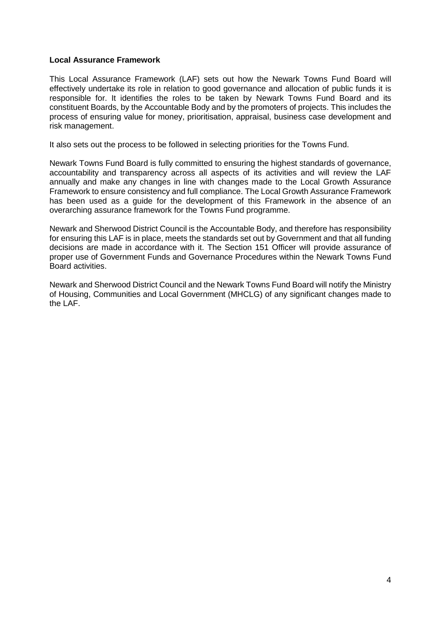#### **Local Assurance Framework**

This Local Assurance Framework (LAF) sets out how the Newark Towns Fund Board will effectively undertake its role in relation to good governance and allocation of public funds it is responsible for. It identifies the roles to be taken by Newark Towns Fund Board and its constituent Boards, by the Accountable Body and by the promoters of projects. This includes the process of ensuring value for money, prioritisation, appraisal, business case development and risk management.

It also sets out the process to be followed in selecting priorities for the Towns Fund.

Newark Towns Fund Board is fully committed to ensuring the highest standards of governance, accountability and transparency across all aspects of its activities and will review the LAF annually and make any changes in line with changes made to the Local Growth Assurance Framework to ensure consistency and full compliance. The Local Growth Assurance Framework has been used as a guide for the development of this Framework in the absence of an overarching assurance framework for the Towns Fund programme.

Newark and Sherwood District Council is the Accountable Body, and therefore has responsibility for ensuring this LAF is in place, meets the standards set out by Government and that all funding decisions are made in accordance with it. The Section 151 Officer will provide assurance of proper use of Government Funds and Governance Procedures within the Newark Towns Fund Board activities.

Newark and Sherwood District Council and the Newark Towns Fund Board will notify the Ministry of Housing, Communities and Local Government (MHCLG) of any significant changes made to the LAF.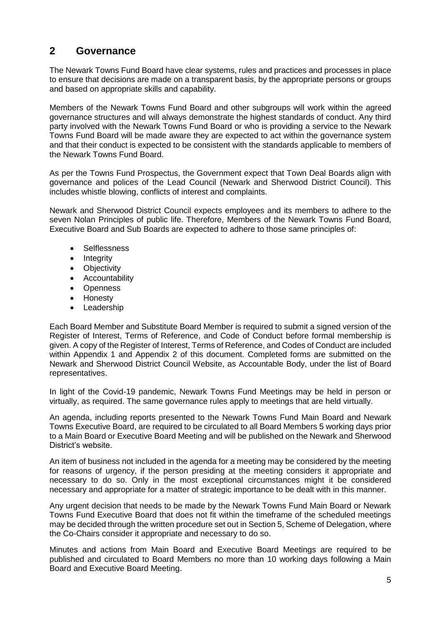## **2 Governance**

The Newark Towns Fund Board have clear systems, rules and practices and processes in place to ensure that decisions are made on a transparent basis, by the appropriate persons or groups and based on appropriate skills and capability.

Members of the Newark Towns Fund Board and other subgroups will work within the agreed governance structures and will always demonstrate the highest standards of conduct. Any third party involved with the Newark Towns Fund Board or who is providing a service to the Newark Towns Fund Board will be made aware they are expected to act within the governance system and that their conduct is expected to be consistent with the standards applicable to members of the Newark Towns Fund Board.

As per the Towns Fund Prospectus, the Government expect that Town Deal Boards align with governance and polices of the Lead Council (Newark and Sherwood District Council). This includes whistle blowing, conflicts of interest and complaints.

Newark and Sherwood District Council expects employees and its members to adhere to the seven Nolan Principles of public life. Therefore, Members of the Newark Towns Fund Board, Executive Board and Sub Boards are expected to adhere to those same principles of:

- **Selflessness**
- Integrity
- Objectivity
- Accountability
- Openness
- Honesty
- Leadership

Each Board Member and Substitute Board Member is required to submit a signed version of the Register of Interest, Terms of Reference, and Code of Conduct before formal membership is given. A copy of the Register of Interest, Terms of Reference, and Codes of Conduct are included within Appendix 1 and Appendix 2 of this document. Completed forms are submitted on the Newark and Sherwood District Council Website, as Accountable Body, under the list of Board representatives.

In light of the Covid-19 pandemic, Newark Towns Fund Meetings may be held in person or virtually, as required. The same governance rules apply to meetings that are held virtually.

An agenda, including reports presented to the Newark Towns Fund Main Board and Newark Towns Executive Board, are required to be circulated to all Board Members 5 working days prior to a Main Board or Executive Board Meeting and will be published on the Newark and Sherwood District's website.

An item of business not included in the agenda for a meeting may be considered by the meeting for reasons of urgency, if the person presiding at the meeting considers it appropriate and necessary to do so. Only in the most exceptional circumstances might it be considered necessary and appropriate for a matter of strategic importance to be dealt with in this manner.

Any urgent decision that needs to be made by the Newark Towns Fund Main Board or Newark Towns Fund Executive Board that does not fit within the timeframe of the scheduled meetings may be decided through the written procedure set out in Section 5, Scheme of Delegation, where the Co-Chairs consider it appropriate and necessary to do so.

Minutes and actions from Main Board and Executive Board Meetings are required to be published and circulated to Board Members no more than 10 working days following a Main Board and Executive Board Meeting.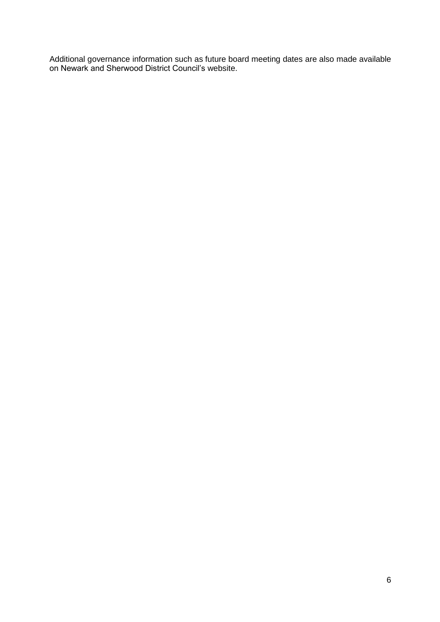Additional governance information such as future board meeting dates are also made available on Newark and Sherwood District Council's website.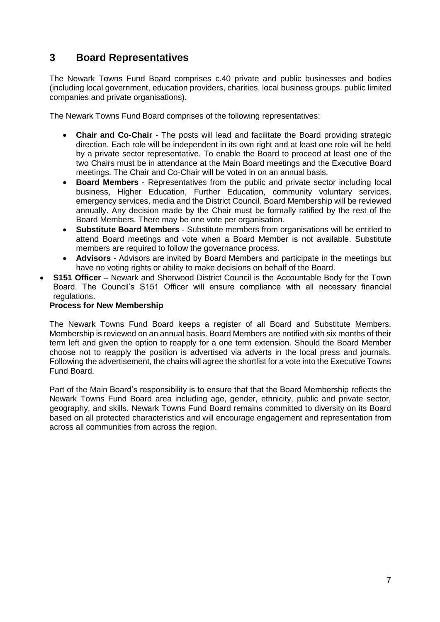## **3 Board Representatives**

The Newark Towns Fund Board comprises c.40 private and public businesses and bodies (including local government, education providers, charities, local business groups. public limited companies and private organisations).

The Newark Towns Fund Board comprises of the following representatives:

- **Chair and Co-Chair** The posts will lead and facilitate the Board providing strategic direction. Each role will be independent in its own right and at least one role will be held by a private sector representative. To enable the Board to proceed at least one of the two Chairs must be in attendance at the Main Board meetings and the Executive Board meetings. The Chair and Co-Chair will be voted in on an annual basis.
- **Board Members** Representatives from the public and private sector including local business, Higher Education, Further Education, community voluntary services, emergency services, media and the District Council. Board Membership will be reviewed annually. Any decision made by the Chair must be formally ratified by the rest of the Board Members. There may be one vote per organisation.
- **Substitute Board Members** Substitute members from organisations will be entitled to attend Board meetings and vote when a Board Member is not available. Substitute members are required to follow the governance process.
- **Advisors** Advisors are invited by Board Members and participate in the meetings but have no voting rights or ability to make decisions on behalf of the Board.
- **S151 Officer** Newark and Sherwood District Council is the Accountable Body for the Town Board. The Council's S151 Officer will ensure compliance with all necessary financial regulations.

#### **Process for New Membership**

The Newark Towns Fund Board keeps a register of all Board and Substitute Members. Membership is reviewed on an annual basis. Board Members are notified with six months of their term left and given the option to reapply for a one term extension. Should the Board Member choose not to reapply the position is advertised via adverts in the local press and journals. Following the advertisement, the chairs will agree the shortlist for a vote into the Executive Towns Fund Board.

Part of the Main Board's responsibility is to ensure that that the Board Membership reflects the Newark Towns Fund Board area including age, gender, ethnicity, public and private sector, geography, and skills. Newark Towns Fund Board remains committed to diversity on its Board based on all protected characteristics and will encourage engagement and representation from across all communities from across the region.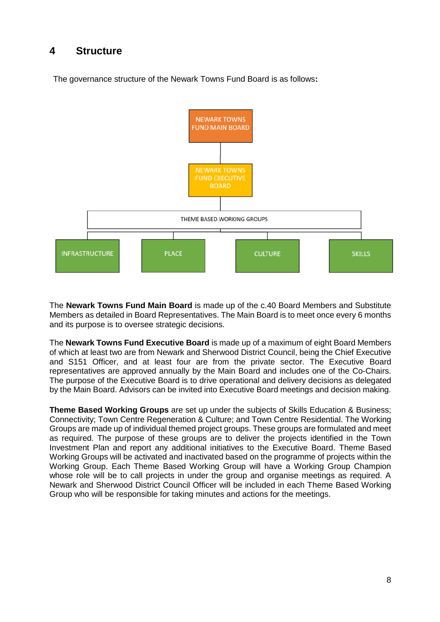## **4 Structure**

The governance structure of the Newark Towns Fund Board is as follows**:**



The **Newark Towns Fund Main Board** is made up of the c.40 Board Members and Substitute Members as detailed in Board Representatives. The Main Board is to meet once every 6 months and its purpose is to oversee strategic decisions.

The **Newark Towns Fund Executive Board** is made up of a maximum of eight Board Members of which at least two are from Newark and Sherwood District Council, being the Chief Executive and S151 Officer, and at least four are from the private sector. The Executive Board representatives are approved annually by the Main Board and includes one of the Co-Chairs. The purpose of the Executive Board is to drive operational and delivery decisions as delegated by the Main Board. Advisors can be invited into Executive Board meetings and decision making.

**Theme Based Working Groups** are set up under the subjects of Skills Education & Business; Connectivity; Town Centre Regeneration & Culture; and Town Centre Residential. The Working Groups are made up of individual themed project groups. These groups are formulated and meet as required. The purpose of these groups are to deliver the projects identified in the Town Investment Plan and report any additional initiatives to the Executive Board. Theme Based Working Groups will be activated and inactivated based on the programme of projects within the Working Group. Each Theme Based Working Group will have a Working Group Champion whose role will be to call projects in under the group and organise meetings as required. A Newark and Sherwood District Council Officer will be included in each Theme Based Working Group who will be responsible for taking minutes and actions for the meetings.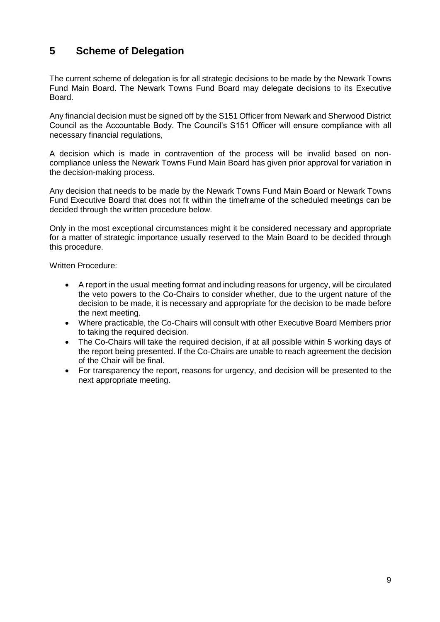## **5 Scheme of Delegation**

The current scheme of delegation is for all strategic decisions to be made by the Newark Towns Fund Main Board. The Newark Towns Fund Board may delegate decisions to its Executive Board.

Any financial decision must be signed off by the S151 Officer from Newark and Sherwood District Council as the Accountable Body. The Council's S151 Officer will ensure compliance with all necessary financial regulations,

A decision which is made in contravention of the process will be invalid based on noncompliance unless the Newark Towns Fund Main Board has given prior approval for variation in the decision-making process.

Any decision that needs to be made by the Newark Towns Fund Main Board or Newark Towns Fund Executive Board that does not fit within the timeframe of the scheduled meetings can be decided through the written procedure below.

Only in the most exceptional circumstances might it be considered necessary and appropriate for a matter of strategic importance usually reserved to the Main Board to be decided through this procedure.

Written Procedure:

- A report in the usual meeting format and including reasons for urgency, will be circulated the veto powers to the Co-Chairs to consider whether, due to the urgent nature of the decision to be made, it is necessary and appropriate for the decision to be made before the next meeting.
- Where practicable, the Co-Chairs will consult with other Executive Board Members prior to taking the required decision.
- The Co-Chairs will take the required decision, if at all possible within 5 working days of the report being presented. If the Co-Chairs are unable to reach agreement the decision of the Chair will be final.
- For transparency the report, reasons for urgency, and decision will be presented to the next appropriate meeting.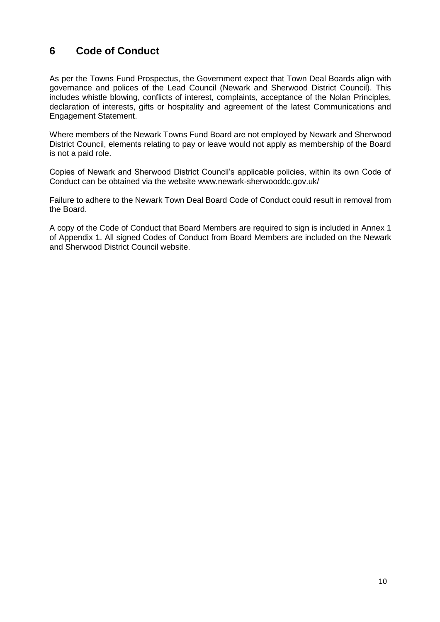## **6 Code of Conduct**

As per the Towns Fund Prospectus, the Government expect that Town Deal Boards align with governance and polices of the Lead Council (Newark and Sherwood District Council). This includes whistle blowing, conflicts of interest, complaints, acceptance of the Nolan Principles, declaration of interests, gifts or hospitality and agreement of the latest Communications and Engagement Statement.

Where members of the Newark Towns Fund Board are not employed by Newark and Sherwood District Council, elements relating to pay or leave would not apply as membership of the Board is not a paid role.

Copies of Newark and Sherwood District Council's applicable policies, within its own Code of Conduct can be obtained via the website [www.newark-sherwooddc.gov.uk/](http://www.newark-sherwooddc.gov.uk/)

Failure to adhere to the Newark Town Deal Board Code of Conduct could result in removal from the Board.

A copy of the Code of Conduct that Board Members are required to sign is included in Annex 1 of Appendix 1. All signed Codes of Conduct from Board Members are included on the Newark and Sherwood District Council website.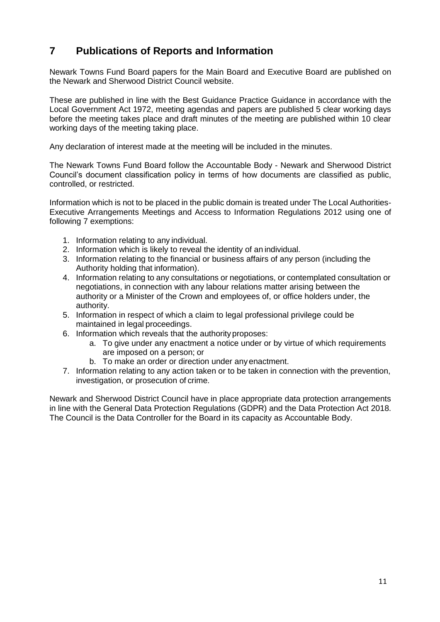## **7 Publications of Reports and Information**

Newark Towns Fund Board papers for the Main Board and Executive Board are published on the Newark and Sherwood District Council website.

These are published in line with the Best Guidance Practice Guidance in accordance with the Local Government Act 1972, meeting agendas and papers are published 5 clear working days before the meeting takes place and draft minutes of the meeting are published within 10 clear working days of the meeting taking place.

Any declaration of interest made at the meeting will be included in the minutes.

The Newark Towns Fund Board follow the Accountable Body - Newark and Sherwood District Council's document classification policy in terms of how documents are classified as public, controlled, or restricted.

Information which is not to be placed in the public domain is treated under The Local Authorities-Executive Arrangements Meetings and Access to Information Regulations 2012 using one of following 7 exemptions:

- 1. Information relating to any individual.
- 2. Information which is likely to reveal the identity of an individual.
- 3. Information relating to the financial or business affairs of any person (including the Authority holding that information).
- 4. Information relating to any consultations or negotiations, or contemplated consultation or negotiations, in connection with any labour relations matter arising between the authority or a Minister of the Crown and employees of, or office holders under, the authority.
- 5. Information in respect of which a claim to legal professional privilege could be maintained in legal proceedings.
- 6. Information which reveals that the authority proposes:
	- a. To give under any enactment a notice under or by virtue of which requirements are imposed on a person; or
	- b. To make an order or direction under any enactment.
- 7. Information relating to any action taken or to be taken in connection with the prevention, investigation, or prosecution of crime.

Newark and Sherwood District Council have in place appropriate data protection arrangements in line with the General Data Protection Regulations (GDPR) and the Data Protection Act 2018. The Council is the Data Controller for the Board in its capacity as Accountable Body.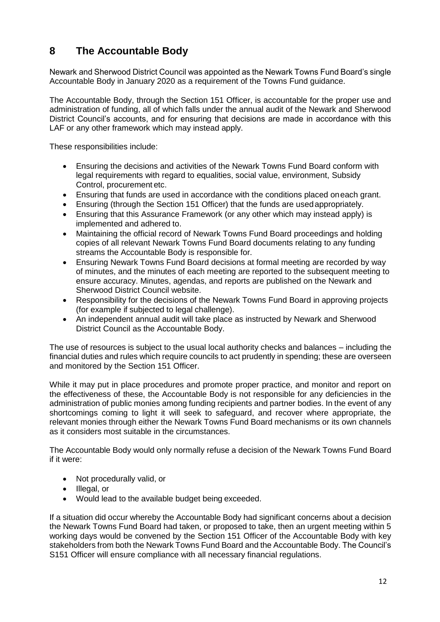## **8 The Accountable Body**

Newark and Sherwood District Council was appointed as the Newark Towns Fund Board's single Accountable Body in January 2020 as a requirement of the Towns Fund guidance.

The Accountable Body, through the Section 151 Officer, is accountable for the proper use and administration of funding, all of which falls under the annual audit of the Newark and Sherwood District Council's accounts, and for ensuring that decisions are made in accordance with this LAF or any other framework which may instead apply.

These responsibilities include:

- Ensuring the decisions and activities of the Newark Towns Fund Board conform with legal requirements with regard to equalities, social value, environment, Subsidy Control, procurement etc.
- Ensuring that funds are used in accordance with the conditions placed oneach grant.
- Ensuring (through the Section 151 Officer) that the funds are usedappropriately.
- Ensuring that this Assurance Framework (or any other which may instead apply) is implemented and adhered to.
- Maintaining the official record of Newark Towns Fund Board proceedings and holding copies of all relevant Newark Towns Fund Board documents relating to any funding streams the Accountable Body is responsible for.
- Ensuring Newark Towns Fund Board decisions at formal meeting are recorded by way of minutes, and the minutes of each meeting are reported to the subsequent meeting to ensure accuracy. Minutes, agendas, and reports are published on the Newark and Sherwood District Council website.
- Responsibility for the decisions of the Newark Towns Fund Board in approving projects (for example if subjected to legal challenge).
- An independent annual audit will take place as instructed by Newark and Sherwood District Council as the Accountable Body.

The use of resources is subject to the usual local authority checks and balances – including the financial duties and rules which require councils to act prudently in spending; these are overseen and monitored by the Section 151 Officer.

While it may put in place procedures and promote proper practice, and monitor and report on the effectiveness of these, the Accountable Body is not responsible for any deficiencies in the administration of public monies among funding recipients and partner bodies. In the event of any shortcomings coming to light it will seek to safeguard, and recover where appropriate, the relevant monies through either the Newark Towns Fund Board mechanisms or its own channels as it considers most suitable in the circumstances.

The Accountable Body would only normally refuse a decision of the Newark Towns Fund Board if it were:

- Not procedurally valid, or
- Illegal, or
- Would lead to the available budget being exceeded.

If a situation did occur whereby the Accountable Body had significant concerns about a decision the Newark Towns Fund Board had taken, or proposed to take, then an urgent meeting within 5 working days would be convened by the Section 151 Officer of the Accountable Body with key stakeholders from both the Newark Towns Fund Board and the Accountable Body. The Council's S151 Officer will ensure compliance with all necessary financial regulations.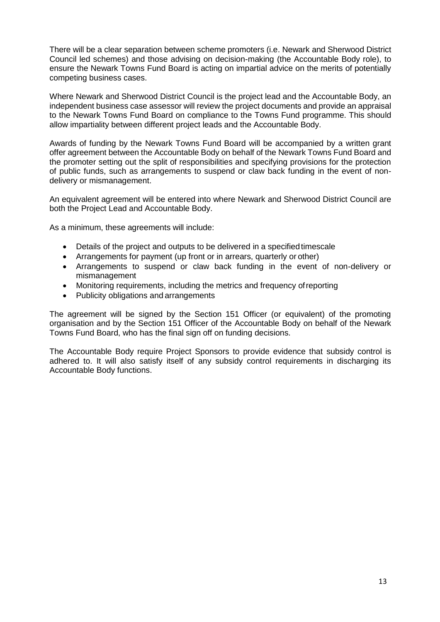There will be a clear separation between scheme promoters (i.e. Newark and Sherwood District Council led schemes) and those advising on decision-making (the Accountable Body role), to ensure the Newark Towns Fund Board is acting on impartial advice on the merits of potentially competing business cases.

Where Newark and Sherwood District Council is the project lead and the Accountable Body, an independent business case assessor will review the project documents and provide an appraisal to the Newark Towns Fund Board on compliance to the Towns Fund programme. This should allow impartiality between different project leads and the Accountable Body.

Awards of funding by the Newark Towns Fund Board will be accompanied by a written grant offer agreement between the Accountable Body on behalf of the Newark Towns Fund Board and the promoter setting out the split of responsibilities and specifying provisions for the protection of public funds, such as arrangements to suspend or claw back funding in the event of nondelivery or mismanagement.

An equivalent agreement will be entered into where Newark and Sherwood District Council are both the Project Lead and Accountable Body.

As a minimum, these agreements will include:

- Details of the project and outputs to be delivered in a specified timescale
- Arrangements for payment (up front or in arrears, quarterly or other)
- Arrangements to suspend or claw back funding in the event of non-delivery or mismanagement
- Monitoring requirements, including the metrics and frequency ofreporting
- Publicity obligations and arrangements

The agreement will be signed by the Section 151 Officer (or equivalent) of the promoting organisation and by the Section 151 Officer of the Accountable Body on behalf of the Newark Towns Fund Board, who has the final sign off on funding decisions.

The Accountable Body require Project Sponsors to provide evidence that subsidy control is adhered to. It will also satisfy itself of any subsidy control requirements in discharging its Accountable Body functions.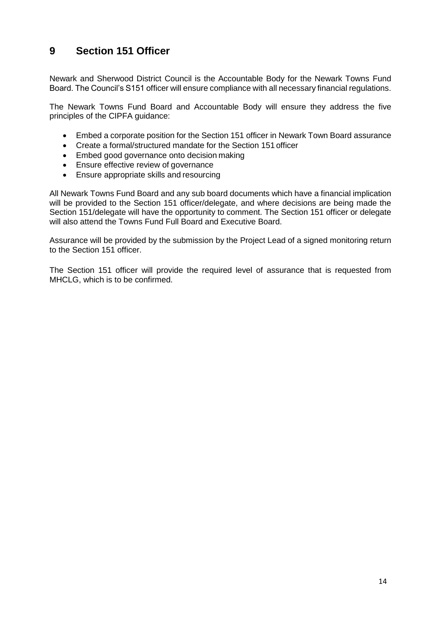## **9 Section 151 Officer**

Newark and Sherwood District Council is the Accountable Body for the Newark Towns Fund Board. The Council's S151 officer will ensure compliance with all necessary financial regulations.

The Newark Towns Fund Board and Accountable Body will ensure they address the five principles of the CIPFA guidance:

- Embed a corporate position for the Section 151 officer in Newark Town Board assurance
- Create a formal/structured mandate for the Section 151 officer
- Embed good governance onto decision making
- Ensure effective review of governance
- Ensure appropriate skills and resourcing

All Newark Towns Fund Board and any sub board documents which have a financial implication will be provided to the Section 151 officer/delegate, and where decisions are being made the Section 151/delegate will have the opportunity to comment. The Section 151 officer or delegate will also attend the Towns Fund Full Board and Executive Board.

Assurance will be provided by the submission by the Project Lead of a signed monitoring return to the Section 151 officer.

The Section 151 officer will provide the required level of assurance that is requested from MHCLG, which is to be confirmed.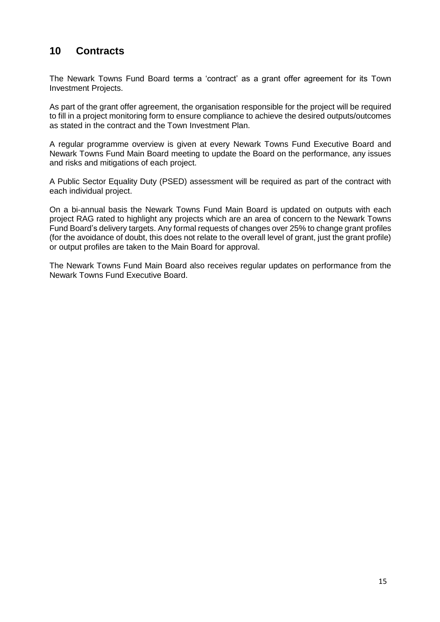## **10 Contracts**

The Newark Towns Fund Board terms a 'contract' as a grant offer agreement for its Town Investment Projects.

As part of the grant offer agreement, the organisation responsible for the project will be required to fill in a project monitoring form to ensure compliance to achieve the desired outputs/outcomes as stated in the contract and the Town Investment Plan.

A regular programme overview is given at every Newark Towns Fund Executive Board and Newark Towns Fund Main Board meeting to update the Board on the performance, any issues and risks and mitigations of each project.

A Public Sector Equality Duty (PSED) assessment will be required as part of the contract with each individual project.

On a bi-annual basis the Newark Towns Fund Main Board is updated on outputs with each project RAG rated to highlight any projects which are an area of concern to the Newark Towns Fund Board's delivery targets. Any formal requests of changes over 25% to change grant profiles (for the avoidance of doubt, this does not relate to the overall level of grant, just the grant profile) or output profiles are taken to the Main Board for approval.

The Newark Towns Fund Main Board also receives regular updates on performance from the Newark Towns Fund Executive Board.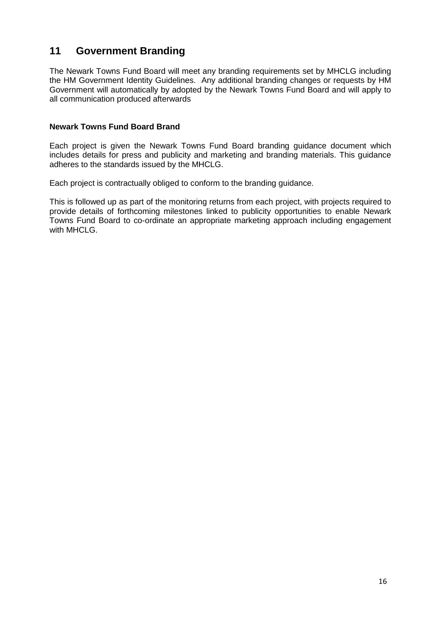## **11 Government Branding**

The Newark Towns Fund Board will meet any branding requirements set by MHCLG including the HM Government Identity Guidelines. Any additional branding changes or requests by HM Government will automatically by adopted by the Newark Towns Fund Board and will apply to all communication produced afterwards

#### **Newark Towns Fund Board Brand**

Each project is given the Newark Towns Fund Board branding guidance document which includes details for press and publicity and marketing and branding materials. This guidance adheres to the standards issued by the MHCLG.

Each project is contractually obliged to conform to the branding guidance.

This is followed up as part of the monitoring returns from each project, with projects required to provide details of forthcoming milestones linked to publicity opportunities to enable Newark Towns Fund Board to co-ordinate an appropriate marketing approach including engagement with MHCLG.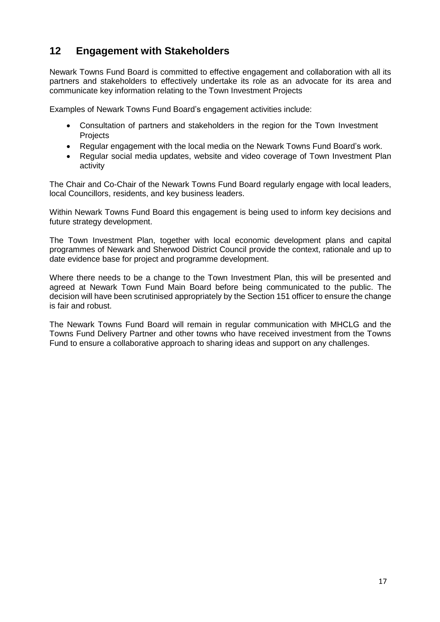## **12 Engagement with Stakeholders**

Newark Towns Fund Board is committed to effective engagement and collaboration with all its partners and stakeholders to effectively undertake its role as an advocate for its area and communicate key information relating to the Town Investment Projects

Examples of Newark Towns Fund Board's engagement activities include:

- Consultation of partners and stakeholders in the region for the Town Investment Projects
- Regular engagement with the local media on the Newark Towns Fund Board's work.
- Regular social media updates, website and video coverage of Town Investment Plan activity

The Chair and Co-Chair of the Newark Towns Fund Board regularly engage with local leaders, local Councillors, residents, and key business leaders.

Within Newark Towns Fund Board this engagement is being used to inform key decisions and future strategy development.

The Town Investment Plan, together with local economic development plans and capital programmes of Newark and Sherwood District Council provide the context, rationale and up to date evidence base for project and programme development.

Where there needs to be a change to the Town Investment Plan, this will be presented and agreed at Newark Town Fund Main Board before being communicated to the public. The decision will have been scrutinised appropriately by the Section 151 officer to ensure the change is fair and robust.

The Newark Towns Fund Board will remain in regular communication with MHCLG and the Towns Fund Delivery Partner and other towns who have received investment from the Towns Fund to ensure a collaborative approach to sharing ideas and support on any challenges.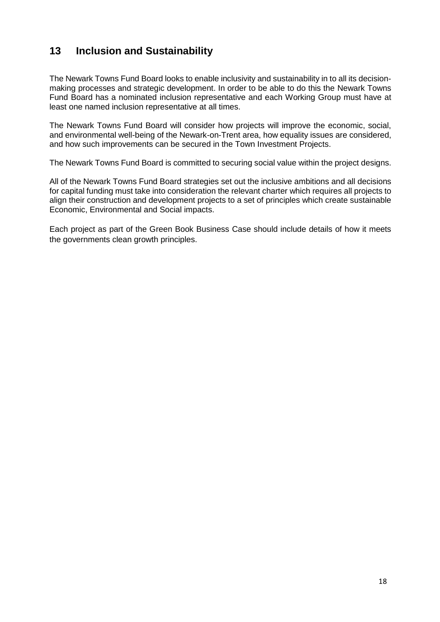## **13 Inclusion and Sustainability**

The Newark Towns Fund Board looks to enable inclusivity and sustainability in to all its decisionmaking processes and strategic development. In order to be able to do this the Newark Towns Fund Board has a nominated inclusion representative and each Working Group must have at least one named inclusion representative at all times.

The Newark Towns Fund Board will consider how projects will improve the economic, social, and environmental well-being of the Newark-on-Trent area, how equality issues are considered, and how such improvements can be secured in the Town Investment Projects.

The Newark Towns Fund Board is committed to securing social value within the project designs.

All of the Newark Towns Fund Board strategies set out the inclusive ambitions and all decisions for capital funding must take into consideration the relevant charter which requires all projects to align their construction and development projects to a set of principles which create sustainable Economic, Environmental and Social impacts.

Each project as part of the Green Book Business Case should include details of how it meets the governments clean growth principles.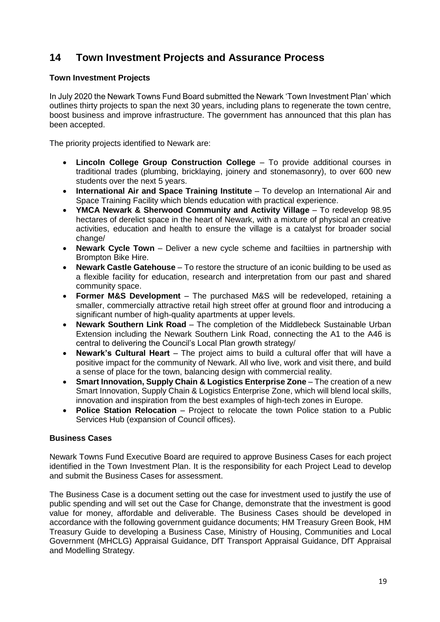## **14 Town Investment Projects and Assurance Process**

#### **Town Investment Projects**

In July 2020 the Newark Towns Fund Board submitted the Newark 'Town Investment Plan' which outlines thirty projects to span the next 30 years, including plans to regenerate the town centre, boost business and improve infrastructure. The government has announced that this plan has been accepted.

The priority projects identified to Newark are:

- **Lincoln College Group Construction College** To provide additional courses in traditional trades (plumbing, bricklaying, joinery and stonemasonry), to over 600 new students over the next 5 years.
- **International Air and Space Training Institute** To develop an International Air and Space Training Facility which blends education with practical experience.
- **YMCA Newark & Sherwood Community and Activity Village** To redevelop 98.95 hectares of derelict space in the heart of Newark, with a mixture of physical an creative activities, education and health to ensure the village is a catalyst for broader social change/
- **Newark Cycle Town** Deliver a new cycle scheme and faciltiies in partnership with Brompton Bike Hire.
- **Newark Castle Gatehouse** To restore the structure of an iconic building to be used as a flexible facility for education, research and interpretation from our past and shared community space.
- **Former M&S Development** The purchased M&S will be redeveloped, retaining a smaller, commercially attractive retail high street offer at ground floor and introducing a significant number of high-quality apartments at upper levels.
- **Newark Southern Link Road** The completion of the Middlebeck Sustainable Urban Extension including the Newark Southern Link Road, connecting the A1 to the A46 is central to delivering the Council's Local Plan growth strategy/
- **Newark's Cultural Heart** The project aims to build a cultural offer that will have a positive impact for the community of Newark. All who live, work and visit there, and build a sense of place for the town, balancing design with commercial reality.
- **Smart Innovation, Supply Chain & Logistics Enterprise Zone** The creation of a new Smart Innovation, Supply Chain & Logistics Enterprise Zone, which will blend local skills, innovation and inspiration from the best examples of high-tech zones in Europe.
- **Police Station Relocation** Project to relocate the town Police station to a Public Services Hub (expansion of Council offices).

#### **Business Cases**

Newark Towns Fund Executive Board are required to approve Business Cases for each project identified in the Town Investment Plan. It is the responsibility for each Project Lead to develop and submit the Business Cases for assessment.

The Business Case is a document setting out the case for investment used to justify the use of public spending and will set out the Case for Change, demonstrate that the investment is good value for money, affordable and deliverable. The Business Cases should be developed in accordance with the following government guidance documents; HM Treasury Green Book, HM Treasury Guide to developing a Business Case, Ministry of Housing, Communities and Local Government (MHCLG) Appraisal Guidance, DfT Transport Appraisal Guidance, DfT Appraisal and Modelling Strategy.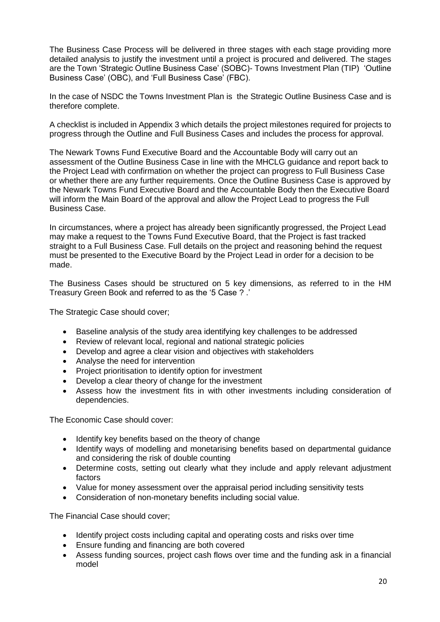The Business Case Process will be delivered in three stages with each stage providing more detailed analysis to justify the investment until a project is procured and delivered. The stages are the Town 'Strategic Outline Business Case' (SOBC)- Towns Investment Plan (TIP) 'Outline Business Case' (OBC), and 'Full Business Case' (FBC).

In the case of NSDC the Towns Investment Plan is the Strategic Outline Business Case and is therefore complete.

A checklist is included in Appendix 3 which details the project milestones required for projects to progress through the Outline and Full Business Cases and includes the process for approval.

The Newark Towns Fund Executive Board and the Accountable Body will carry out an assessment of the Outline Business Case in line with the MHCLG guidance and report back to the Project Lead with confirmation on whether the project can progress to Full Business Case or whether there are any further requirements. Once the Outline Business Case is approved by the Newark Towns Fund Executive Board and the Accountable Body then the Executive Board will inform the Main Board of the approval and allow the Project Lead to progress the Full Business Case.

In circumstances, where a project has already been significantly progressed, the Project Lead may make a request to the Towns Fund Executive Board, that the Project is fast tracked straight to a Full Business Case. Full details on the project and reasoning behind the request must be presented to the Executive Board by the Project Lead in order for a decision to be made.

The Business Cases should be structured on 5 key dimensions, as referred to in the HM Treasury Green Book and referred to as the '5 Case ? .'

The Strategic Case should cover;

- Baseline analysis of the study area identifying key challenges to be addressed
- Review of relevant local, regional and national strategic policies
- Develop and agree a clear vision and objectives with stakeholders
- Analyse the need for intervention
- Project prioritisation to identify option for investment
- Develop a clear theory of change for the investment
- Assess how the investment fits in with other investments including consideration of dependencies.

The Economic Case should cover:

- Identify key benefits based on the theory of change
- Identify ways of modelling and monetarising benefits based on departmental guidance and considering the risk of double counting
- Determine costs, setting out clearly what they include and apply relevant adjustment factors
- Value for money assessment over the appraisal period including sensitivity tests
- Consideration of non-monetary benefits including social value.

The Financial Case should cover;

- Identify project costs including capital and operating costs and risks over time
- Ensure funding and financing are both covered
- Assess funding sources, project cash flows over time and the funding ask in a financial model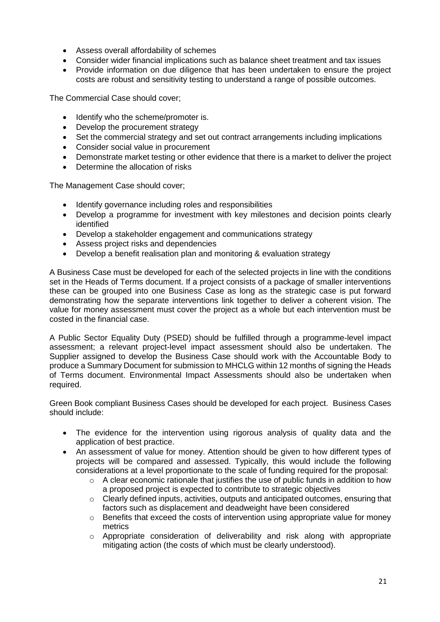- Assess overall affordability of schemes
- Consider wider financial implications such as balance sheet treatment and tax issues
- Provide information on due diligence that has been undertaken to ensure the project costs are robust and sensitivity testing to understand a range of possible outcomes.

The Commercial Case should cover;

- Identify who the scheme/promoter is.
- Develop the procurement strategy
- Set the commercial strategy and set out contract arrangements including implications
- Consider social value in procurement
- Demonstrate market testing or other evidence that there is a market to deliver the project
- Determine the allocation of risks

The Management Case should cover;

- Identify governance including roles and responsibilities
- Develop a programme for investment with key milestones and decision points clearly identified
- Develop a stakeholder engagement and communications strategy
- Assess project risks and dependencies
- Develop a benefit realisation plan and monitoring & evaluation strategy

A Business Case must be developed for each of the selected projects in line with the conditions set in the Heads of Terms document. If a project consists of a package of smaller interventions these can be grouped into one Business Case as long as the strategic case is put forward demonstrating how the separate interventions link together to deliver a coherent vision. The value for money assessment must cover the project as a whole but each intervention must be costed in the financial case.

A Public Sector Equality Duty (PSED) should be fulfilled through a programme-level impact assessment; a relevant project-level impact assessment should also be undertaken. The Supplier assigned to develop the Business Case should work with the Accountable Body to produce a Summary Document for submission to MHCLG within 12 months of signing the Heads of Terms document. Environmental Impact Assessments should also be undertaken when required.

Green Book compliant Business Cases should be developed for each project. Business Cases should include:

- The evidence for the intervention using rigorous analysis of quality data and the application of best practice.
- An assessment of value for money. Attention should be given to how different types of projects will be compared and assessed. Typically, this would include the following considerations at a level proportionate to the scale of funding required for the proposal:
	- $\circ$  A clear economic rationale that justifies the use of public funds in addition to how a proposed project is expected to contribute to strategic objectives
	- $\circ$  Clearly defined inputs, activities, outputs and anticipated outcomes, ensuring that factors such as displacement and deadweight have been considered
	- o Benefits that exceed the costs of intervention using appropriate value for money metrics
	- o Appropriate consideration of deliverability and risk along with appropriate mitigating action (the costs of which must be clearly understood).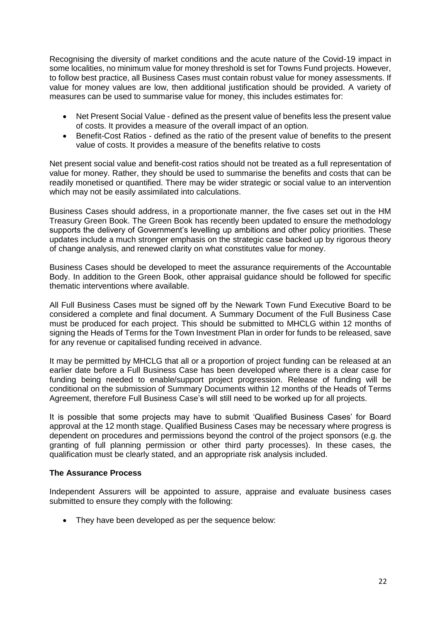Recognising the diversity of market conditions and the acute nature of the Covid-19 impact in some localities, no minimum value for money threshold is set for Towns Fund projects. However, to follow best practice, all Business Cases must contain robust value for money assessments. If value for money values are low, then additional justification should be provided. A variety of measures can be used to summarise value for money, this includes estimates for:

- Net Present Social Value defined as the present value of benefits less the present value of costs. It provides a measure of the overall impact of an option.
- Benefit-Cost Ratios defined as the ratio of the present value of benefits to the present value of costs. It provides a measure of the benefits relative to costs

Net present social value and benefit-cost ratios should not be treated as a full representation of value for money. Rather, they should be used to summarise the benefits and costs that can be readily monetised or quantified. There may be wider strategic or social value to an intervention which may not be easily assimilated into calculations.

Business Cases should address, in a proportionate manner, the five cases set out in the HM Treasury Green Book. The Green Book has recently been updated to ensure the methodology supports the delivery of Government's levelling up ambitions and other policy priorities. These updates include a much stronger emphasis on the strategic case backed up by rigorous theory of change analysis, and renewed clarity on what constitutes value for money.

Business Cases should be developed to meet the assurance requirements of the Accountable Body. In addition to the Green Book, other appraisal guidance should be followed for specific thematic interventions where available.

All Full Business Cases must be signed off by the Newark Town Fund Executive Board to be considered a complete and final document. A Summary Document of the Full Business Case must be produced for each project. This should be submitted to MHCLG within 12 months of signing the Heads of Terms for the Town Investment Plan in order for funds to be released, save for any revenue or capitalised funding received in advance.

It may be permitted by MHCLG that all or a proportion of project funding can be released at an earlier date before a Full Business Case has been developed where there is a clear case for funding being needed to enable/support project progression. Release of funding will be conditional on the submission of Summary Documents within 12 months of the Heads of Terms Agreement, therefore Full Business Case's will still need to be worked up for all projects.

It is possible that some projects may have to submit 'Qualified Business Cases' for Board approval at the 12 month stage. Qualified Business Cases may be necessary where progress is dependent on procedures and permissions beyond the control of the project sponsors (e.g. the granting of full planning permission or other third party processes). In these cases, the qualification must be clearly stated, and an appropriate risk analysis included.

#### **The Assurance Process**

Independent Assurers will be appointed to assure, appraise and evaluate business cases submitted to ensure they comply with the following:

• They have been developed as per the sequence below: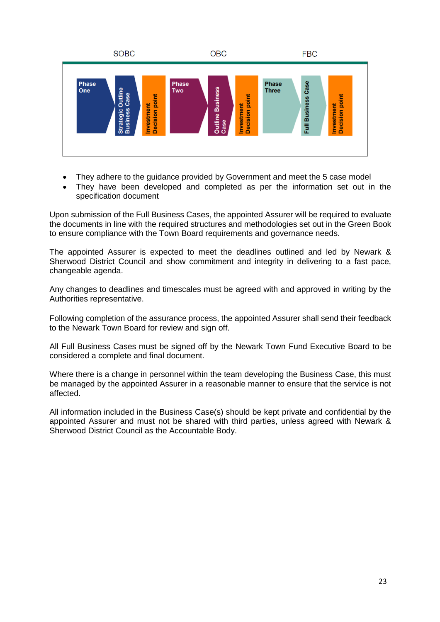

- They adhere to the guidance provided by Government and meet the 5 case model
- They have been developed and completed as per the information set out in the specification document

Upon submission of the Full Business Cases, the appointed Assurer will be required to evaluate the documents in line with the required structures and methodologies set out in the Green Book to ensure compliance with the Town Board requirements and governance needs.

The appointed Assurer is expected to meet the deadlines outlined and led by Newark & Sherwood District Council and show commitment and integrity in delivering to a fast pace, changeable agenda.

Any changes to deadlines and timescales must be agreed with and approved in writing by the Authorities representative.

Following completion of the assurance process, the appointed Assurer shall send their feedback to the Newark Town Board for review and sign off.

All Full Business Cases must be signed off by the Newark Town Fund Executive Board to be considered a complete and final document.

Where there is a change in personnel within the team developing the Business Case, this must be managed by the appointed Assurer in a reasonable manner to ensure that the service is not affected.

All information included in the Business Case(s) should be kept private and confidential by the appointed Assurer and must not be shared with third parties, unless agreed with Newark & Sherwood District Council as the Accountable Body.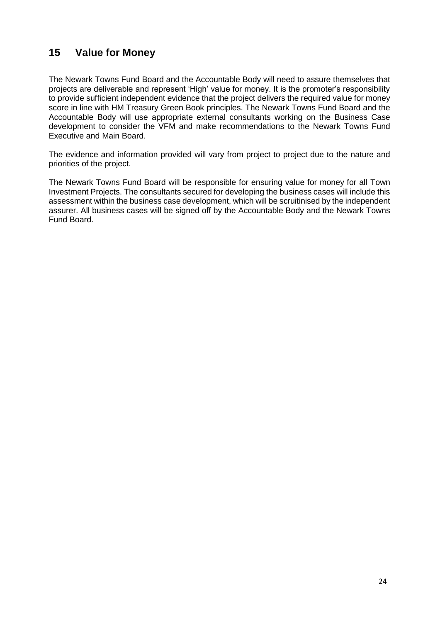## **15 Value for Money**

The Newark Towns Fund Board and the Accountable Body will need to assure themselves that projects are deliverable and represent 'High' value for money. It is the promoter's responsibility to provide sufficient independent evidence that the project delivers the required value for money score in line with HM Treasury Green Book principles. The Newark Towns Fund Board and the Accountable Body will use appropriate external consultants working on the Business Case development to consider the VFM and make recommendations to the Newark Towns Fund Executive and Main Board.

The evidence and information provided will vary from project to project due to the nature and priorities of the project.

The Newark Towns Fund Board will be responsible for ensuring value for money for all Town Investment Projects. The consultants secured for developing the business cases will include this assessment within the business case development, which will be scruitinised by the independent assurer. All business cases will be signed off by the Accountable Body and the Newark Towns Fund Board.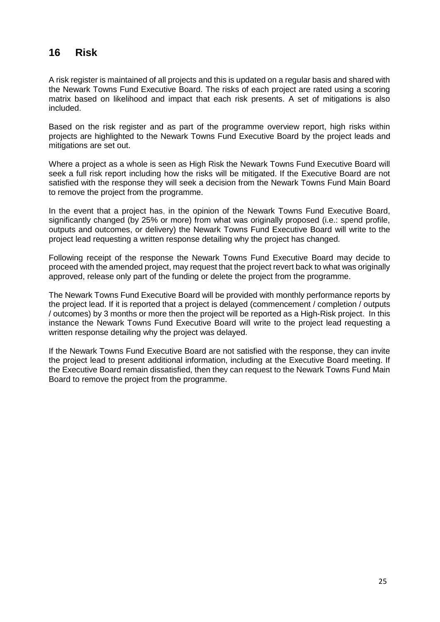## **16 Risk**

A risk register is maintained of all projects and this is updated on a regular basis and shared with the Newark Towns Fund Executive Board. The risks of each project are rated using a scoring matrix based on likelihood and impact that each risk presents. A set of mitigations is also included.

Based on the risk register and as part of the programme overview report, high risks within projects are highlighted to the Newark Towns Fund Executive Board by the project leads and mitigations are set out.

Where a project as a whole is seen as High Risk the Newark Towns Fund Executive Board will seek a full risk report including how the risks will be mitigated. If the Executive Board are not satisfied with the response they will seek a decision from the Newark Towns Fund Main Board to remove the project from the programme.

In the event that a project has, in the opinion of the Newark Towns Fund Executive Board, significantly changed (by 25% or more) from what was originally proposed (i.e.: spend profile, outputs and outcomes, or delivery) the Newark Towns Fund Executive Board will write to the project lead requesting a written response detailing why the project has changed.

Following receipt of the response the Newark Towns Fund Executive Board may decide to proceed with the amended project, may request that the project revert back to what was originally approved, release only part of the funding or delete the project from the programme.

The Newark Towns Fund Executive Board will be provided with monthly performance reports by the project lead. If it is reported that a project is delayed (commencement / completion / outputs / outcomes) by 3 months or more then the project will be reported as a High-Risk project. In this instance the Newark Towns Fund Executive Board will write to the project lead requesting a written response detailing why the project was delayed.

If the Newark Towns Fund Executive Board are not satisfied with the response, they can invite the project lead to present additional information, including at the Executive Board meeting. If the Executive Board remain dissatisfied, then they can request to the Newark Towns Fund Main Board to remove the project from the programme.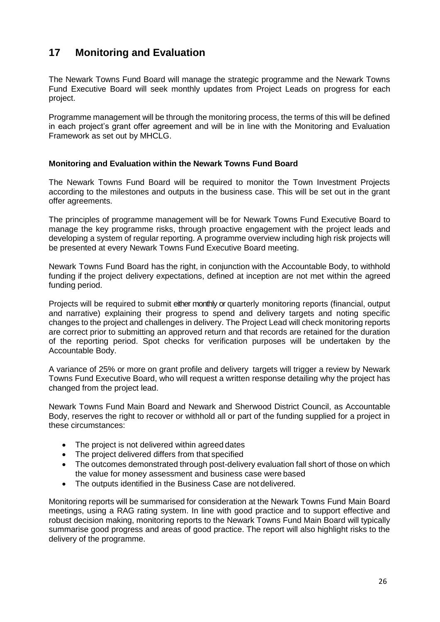## **17 Monitoring and Evaluation**

The Newark Towns Fund Board will manage the strategic programme and the Newark Towns Fund Executive Board will seek monthly updates from Project Leads on progress for each project.

Programme management will be through the monitoring process, the terms of this will be defined in each project's grant offer agreement and will be in line with the Monitoring and Evaluation Framework as set out by MHCLG.

#### **Monitoring and Evaluation within the Newark Towns Fund Board**

The Newark Towns Fund Board will be required to monitor the Town Investment Projects according to the milestones and outputs in the business case. This will be set out in the grant offer agreements.

The principles of programme management will be for Newark Towns Fund Executive Board to manage the key programme risks, through proactive engagement with the project leads and developing a system of regular reporting. A programme overview including high risk projects will be presented at every Newark Towns Fund Executive Board meeting.

Newark Towns Fund Board has the right, in conjunction with the Accountable Body, to withhold funding if the project delivery expectations, defined at inception are not met within the agreed funding period.

Projects will be required to submit either monthly or quarterly monitoring reports (financial, output and narrative) explaining their progress to spend and delivery targets and noting specific changes to the project and challenges in delivery. The Project Lead will check monitoring reports are correct prior to submitting an approved return and that records are retained for the duration of the reporting period. Spot checks for verification purposes will be undertaken by the Accountable Body.

A variance of 25% or more on grant profile and delivery targets will trigger a review by Newark Towns Fund Executive Board, who will request a written response detailing why the project has changed from the project lead.

Newark Towns Fund Main Board and Newark and Sherwood District Council, as Accountable Body, reserves the right to recover or withhold all or part of the funding supplied for a project in these circumstances:

- The project is not delivered within agreed dates
- The project delivered differs from that specified
- The outcomes demonstrated through post-delivery evaluation fall short of those on which the value for money assessment and business case were based
- The outputs identified in the Business Case are not delivered.

Monitoring reports will be summarised for consideration at the Newark Towns Fund Main Board meetings, using a RAG rating system. In line with good practice and to support effective and robust decision making, monitoring reports to the Newark Towns Fund Main Board will typically summarise good progress and areas of good practice. The report will also highlight risks to the delivery of the programme.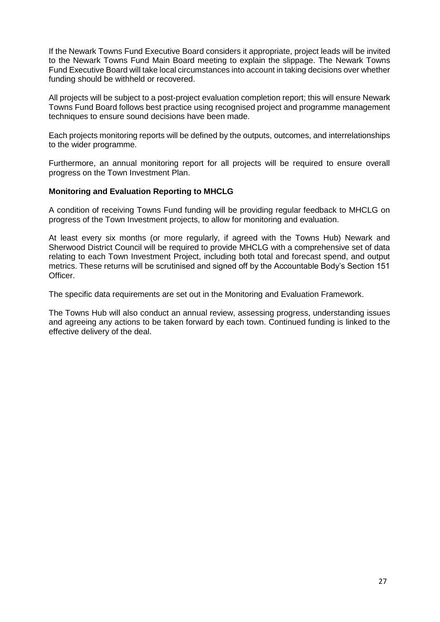If the Newark Towns Fund Executive Board considers it appropriate, project leads will be invited to the Newark Towns Fund Main Board meeting to explain the slippage. The Newark Towns Fund Executive Board will take local circumstances into account in taking decisions over whether funding should be withheld or recovered.

All projects will be subject to a post-project evaluation completion report; this will ensure Newark Towns Fund Board follows best practice using recognised project and programme management techniques to ensure sound decisions have been made.

Each projects monitoring reports will be defined by the outputs, outcomes, and interrelationships to the wider programme.

Furthermore, an annual monitoring report for all projects will be required to ensure overall progress on the Town Investment Plan.

#### **Monitoring and Evaluation Reporting to MHCLG**

A condition of receiving Towns Fund funding will be providing regular feedback to MHCLG on progress of the Town Investment projects, to allow for monitoring and evaluation.

At least every six months (or more regularly, if agreed with the Towns Hub) Newark and Sherwood District Council will be required to provide MHCLG with a comprehensive set of data relating to each Town Investment Project, including both total and forecast spend, and output metrics. These returns will be scrutinised and signed off by the Accountable Body's Section 151 Officer.

The specific data requirements are set out in the Monitoring and Evaluation Framework.

The Towns Hub will also conduct an annual review, assessing progress, understanding issues and agreeing any actions to be taken forward by each town. Continued funding is linked to the effective delivery of the deal.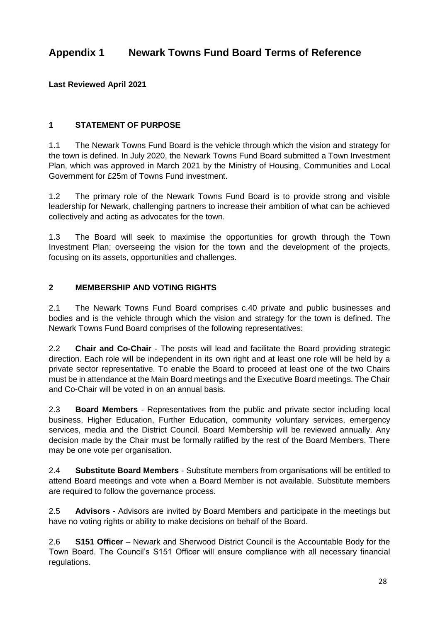## **Appendix 1 Newark Towns Fund Board Terms of Reference**

**Last Reviewed April 2021**

#### **1 STATEMENT OF PURPOSE**

1.1 The Newark Towns Fund Board is the vehicle through which the vision and strategy for the town is defined. In July 2020, the Newark Towns Fund Board submitted a Town Investment Plan, which was approved in March 2021 by the Ministry of Housing, Communities and Local Government for £25m of Towns Fund investment.

1.2 The primary role of the Newark Towns Fund Board is to provide strong and visible leadership for Newark, challenging partners to increase their ambition of what can be achieved collectively and acting as advocates for the town.

1.3 The Board will seek to maximise the opportunities for growth through the Town Investment Plan; overseeing the vision for the town and the development of the projects, focusing on its assets, opportunities and challenges.

#### **2 MEMBERSHIP AND VOTING RIGHTS**

2.1 The Newark Towns Fund Board comprises c.40 private and public businesses and bodies and is the vehicle through which the vision and strategy for the town is defined. The Newark Towns Fund Board comprises of the following representatives:

2.2 **Chair and Co-Chair** - The posts will lead and facilitate the Board providing strategic direction. Each role will be independent in its own right and at least one role will be held by a private sector representative. To enable the Board to proceed at least one of the two Chairs must be in attendance at the Main Board meetings and the Executive Board meetings. The Chair and Co-Chair will be voted in on an annual basis.

2.3 **Board Members** - Representatives from the public and private sector including local business, Higher Education, Further Education, community voluntary services, emergency services, media and the District Council. Board Membership will be reviewed annually. Any decision made by the Chair must be formally ratified by the rest of the Board Members. There may be one vote per organisation.

2.4 **Substitute Board Members** - Substitute members from organisations will be entitled to attend Board meetings and vote when a Board Member is not available. Substitute members are required to follow the governance process.

2.5 **Advisors** - Advisors are invited by Board Members and participate in the meetings but have no voting rights or ability to make decisions on behalf of the Board.

2.6 **S151 Officer** – Newark and Sherwood District Council is the Accountable Body for the Town Board. The Council's S151 Officer will ensure compliance with all necessary financial regulations.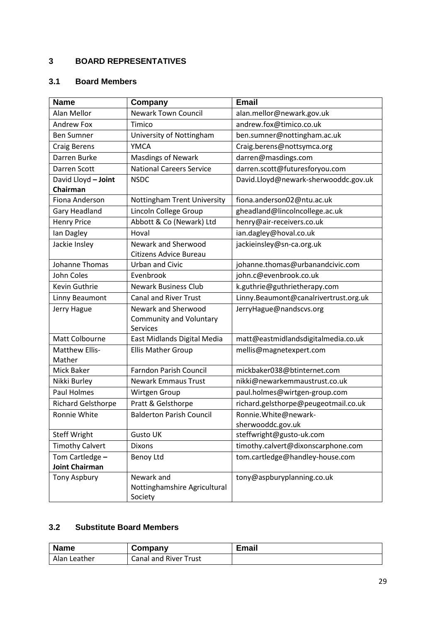#### **3 BOARD REPRESENTATIVES**

#### **3.1 Board Members**

| <b>Name</b>               | Company                                        | <b>Email</b>                          |
|---------------------------|------------------------------------------------|---------------------------------------|
| Alan Mellor               | <b>Newark Town Council</b>                     | alan.mellor@newark.gov.uk             |
| <b>Andrew Fox</b>         | Timico                                         | andrew.fox@timico.co.uk               |
| <b>Ben Sumner</b>         | University of Nottingham                       | ben.sumner@nottingham.ac.uk           |
| <b>Craig Berens</b>       | <b>YMCA</b>                                    | Craig.berens@nottsymca.org            |
| Darren Burke              | <b>Masdings of Newark</b>                      | darren@masdings.com                   |
| Darren Scott              | <b>National Careers Service</b>                | darren.scott@futuresforyou.com        |
| David Lloyd - Joint       | <b>NSDC</b>                                    | David.Lloyd@newark-sherwooddc.gov.uk  |
| Chairman                  |                                                |                                       |
| <b>Fiona Anderson</b>     | Nottingham Trent University                    | fiona.anderson02@ntu.ac.uk            |
| Gary Headland             | Lincoln College Group                          | gheadland@lincolncollege.ac.uk        |
| <b>Henry Price</b>        | Abbott & Co (Newark) Ltd                       | henry@air-receivers.co.uk             |
| Ian Dagley                | Hoval                                          | ian.dagley@hoval.co.uk                |
| Jackie Insley             | Newark and Sherwood                            | jackieinsley@sn-ca.org.uk             |
|                           | Citizens Advice Bureau                         |                                       |
| Johanne Thomas            | <b>Urban and Civic</b>                         | johanne.thomas@urbanandcivic.com      |
| John Coles                | Evenbrook                                      | john.c@evenbrook.co.uk                |
| Kevin Guthrie             | <b>Newark Business Club</b>                    | k.guthrie@guthrietherapy.com          |
| Linny Beaumont            | <b>Canal and River Trust</b>                   | Linny.Beaumont@canalrivertrust.org.uk |
| Jerry Hague               | Newark and Sherwood                            | JerryHague@nandscvs.org               |
|                           | <b>Community and Voluntary</b>                 |                                       |
| Matt Colbourne            | <b>Services</b><br>East Midlands Digital Media | matt@eastmidlandsdigitalmedia.co.uk   |
| Matthew Ellis-            |                                                |                                       |
| Mather                    | <b>Ellis Mather Group</b>                      | mellis@magnetexpert.com               |
| Mick Baker                | <b>Farndon Parish Council</b>                  | mickbaker038@btinternet.com           |
| Nikki Burley              | <b>Newark Emmaus Trust</b>                     | nikki@newarkemmaustrust.co.uk         |
| <b>Paul Holmes</b>        | Wirtgen Group                                  | paul.holmes@wirtgen-group.com         |
| <b>Richard Gelsthorpe</b> | Pratt & Gelsthorpe                             | richard.gelsthorpe@peugeotmail.co.uk  |
| Ronnie White              | <b>Balderton Parish Council</b>                | Ronnie. White@newark-                 |
|                           |                                                | sherwooddc.gov.uk                     |
| <b>Steff Wright</b>       | <b>Gusto UK</b>                                | steffwright@gusto-uk.com              |
| <b>Timothy Calvert</b>    | <b>Dixons</b>                                  | timothy.calvert@dixonscarphone.com    |
| Tom Cartledge -           | <b>Benoy Ltd</b>                               | tom.cartledge@handley-house.com       |
| <b>Joint Chairman</b>     |                                                |                                       |
| <b>Tony Aspbury</b>       | Newark and                                     | tony@aspburyplanning.co.uk            |
|                           | Nottinghamshire Agricultural                   |                                       |
|                           | Society                                        |                                       |

#### **3.2 Substitute Board Members**

| <b>Name</b>  | Company                      | Email |
|--------------|------------------------------|-------|
| Alan Leather | <b>Canal and River Trust</b> |       |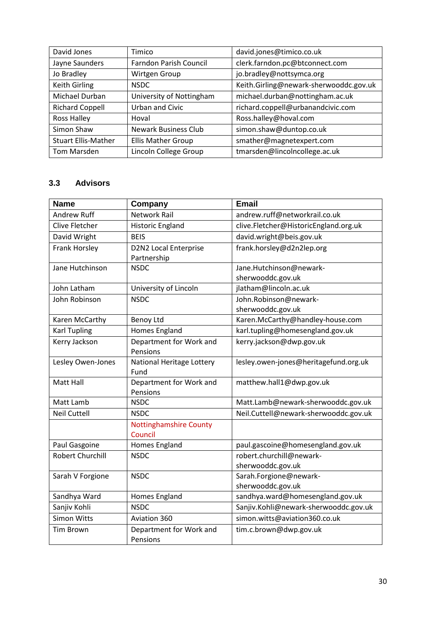| David Jones                | Timico                        | david.jones@timico.co.uk               |
|----------------------------|-------------------------------|----------------------------------------|
| Jayne Saunders             | <b>Farndon Parish Council</b> | clerk.farndon.pc@btconnect.com         |
| Jo Bradley                 | Wirtgen Group                 | jo.bradley@nottsymca.org               |
| Keith Girling              | <b>NSDC</b>                   | Keith.Girling@newark-sherwooddc.gov.uk |
| Michael Durban             | University of Nottingham      | michael.durban@nottingham.ac.uk        |
| <b>Richard Coppell</b>     | <b>Urban and Civic</b>        | richard.coppell@urbanandcivic.com      |
| Ross Halley                | Hoval                         | Ross.halley@hoval.com                  |
| Simon Shaw                 | <b>Newark Business Club</b>   | simon.shaw@duntop.co.uk                |
| <b>Stuart Ellis-Mather</b> | <b>Ellis Mather Group</b>     | smather@magnetexpert.com               |
| Tom Marsden                | Lincoln College Group         | tmarsden@lincolncollege.ac.uk          |

#### **3.3 Advisors**

| <b>Name</b>             | Company                             | <b>Email</b>                          |
|-------------------------|-------------------------------------|---------------------------------------|
| <b>Andrew Ruff</b>      | <b>Network Rail</b>                 | andrew.ruff@networkrail.co.uk         |
| Clive Fletcher          | <b>Historic England</b>             | clive.Fletcher@HistoricEngland.org.uk |
| David Wright            | <b>BEIS</b>                         | david.wright@beis.gov.uk              |
| Frank Horsley           | <b>D2N2 Local Enterprise</b>        | frank.horsley@d2n2lep.org             |
|                         | Partnership                         |                                       |
| Jane Hutchinson         | <b>NSDC</b>                         | Jane.Hutchinson@newark-               |
|                         |                                     | sherwooddc.gov.uk                     |
| John Latham             | University of Lincoln               | jlatham@lincoln.ac.uk                 |
| John Robinson           | <b>NSDC</b>                         | John.Robinson@newark-                 |
|                         |                                     | sherwooddc.gov.uk                     |
| Karen McCarthy          | <b>Benoy Ltd</b>                    | Karen.McCarthy@handley-house.com      |
| <b>Karl Tupling</b>     | <b>Homes England</b>                | karl.tupling@homesengland.gov.uk      |
| Kerry Jackson           | Department for Work and             | kerry.jackson@dwp.gov.uk              |
|                         | Pensions                            |                                       |
| Lesley Owen-Jones       | National Heritage Lottery           | lesley.owen-jones@heritagefund.org.uk |
|                         | Fund                                |                                       |
| Matt Hall               | Department for Work and             | matthew.hall1@dwp.gov.uk              |
|                         | Pensions                            |                                       |
| Matt Lamb               | <b>NSDC</b>                         | Matt.Lamb@newark-sherwooddc.gov.uk    |
| <b>Neil Cuttell</b>     | <b>NSDC</b>                         | Neil.Cuttell@newark-sherwooddc.gov.uk |
|                         | <b>Nottinghamshire County</b>       |                                       |
|                         | Council                             |                                       |
| Paul Gasgoine           | Homes England                       | paul.gascoine@homesengland.gov.uk     |
| <b>Robert Churchill</b> | <b>NSDC</b>                         | robert.churchill@newark-              |
|                         |                                     | sherwooddc.gov.uk                     |
| Sarah V Forgione        | <b>NSDC</b>                         | Sarah.Forgione@newark-                |
|                         |                                     | sherwooddc.gov.uk                     |
| Sandhya Ward            | Homes England                       | sandhya.ward@homesengland.gov.uk      |
| Sanjiv Kohli            | <b>NSDC</b>                         | Sanjiv.Kohli@newark-sherwooddc.gov.uk |
| <b>Simon Witts</b>      | Aviation 360                        | simon.witts@aviation360.co.uk         |
| <b>Tim Brown</b>        | Department for Work and<br>Pensions | tim.c.brown@dwp.gov.uk                |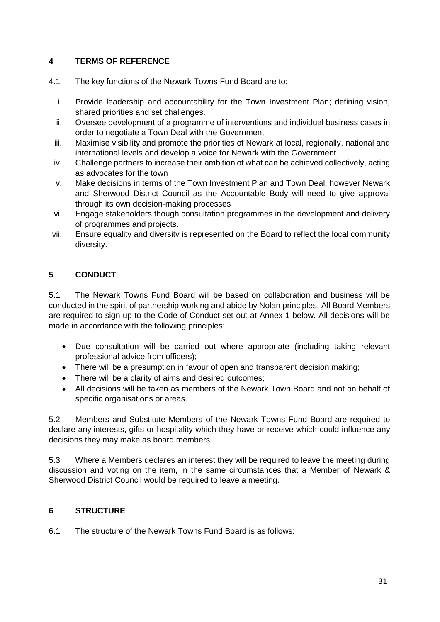#### **4 TERMS OF REFERENCE**

- 4.1 The key functions of the Newark Towns Fund Board are to:
	- i. Provide leadership and accountability for the Town Investment Plan; defining vision, shared priorities and set challenges.
	- ii. Oversee development of a programme of interventions and individual business cases in order to negotiate a Town Deal with the Government
	- iii. Maximise visibility and promote the priorities of Newark at local, regionally, national and international levels and develop a voice for Newark with the Government
	- iv. Challenge partners to increase their ambition of what can be achieved collectively, acting as advocates for the town
	- v. Make decisions in terms of the Town Investment Plan and Town Deal, however Newark and Sherwood District Council as the Accountable Body will need to give approval through its own decision-making processes
	- vi. Engage stakeholders though consultation programmes in the development and delivery of programmes and projects.
- vii. Ensure equality and diversity is represented on the Board to reflect the local community diversity.

#### **5 CONDUCT**

5.1 The Newark Towns Fund Board will be based on collaboration and business will be conducted in the spirit of partnership working and abide by Nolan principles. All Board Members are required to sign up to the Code of Conduct set out at Annex 1 below. All decisions will be made in accordance with the following principles:

- Due consultation will be carried out where appropriate (including taking relevant professional advice from officers);
- There will be a presumption in favour of open and transparent decision making;
- There will be a clarity of aims and desired outcomes;
- All decisions will be taken as members of the Newark Town Board and not on behalf of specific organisations or areas.

5.2 Members and Substitute Members of the Newark Towns Fund Board are required to declare any interests, gifts or hospitality which they have or receive which could influence any decisions they may make as board members.

5.3 Where a Members declares an interest they will be required to leave the meeting during discussion and voting on the item, in the same circumstances that a Member of Newark & Sherwood District Council would be required to leave a meeting.

#### **6 STRUCTURE**

6.1 The structure of the Newark Towns Fund Board is as follows: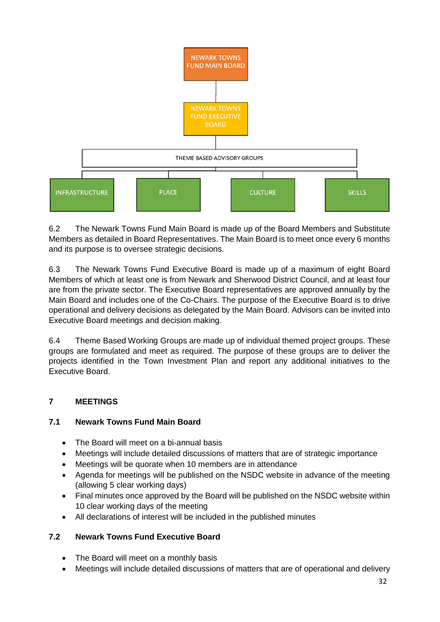

6.2 The Newark Towns Fund Main Board is made up of the Board Members and Substitute Members as detailed in Board Representatives. The Main Board is to meet once every 6 months and its purpose is to oversee strategic decisions.

6.3 The Newark Towns Fund Executive Board is made up of a maximum of eight Board Members of which at least one is from Newark and Sherwood District Council, and at least four are from the private sector. The Executive Board representatives are approved annually by the Main Board and includes one of the Co-Chairs. The purpose of the Executive Board is to drive operational and delivery decisions as delegated by the Main Board. Advisors can be invited into Executive Board meetings and decision making.

6.4 Theme Based Working Groups are made up of individual themed project groups. These groups are formulated and meet as required. The purpose of these groups are to deliver the projects identified in the Town Investment Plan and report any additional initiatives to the Executive Board.

#### **7 MEETINGS**

#### **7.1 Newark Towns Fund Main Board**

- The Board will meet on a bi-annual basis
- Meetings will include detailed discussions of matters that are of strategic importance
- Meetings will be quorate when 10 members are in attendance
- Agenda for meetings will be published on the NSDC website in advance of the meeting (allowing 5 clear working days)
- Final minutes once approved by the Board will be published on the NSDC website within 10 clear working days of the meeting
- All declarations of interest will be included in the published minutes

#### **7.2 Newark Towns Fund Executive Board**

- The Board will meet on a monthly basis
- Meetings will include detailed discussions of matters that are of operational and delivery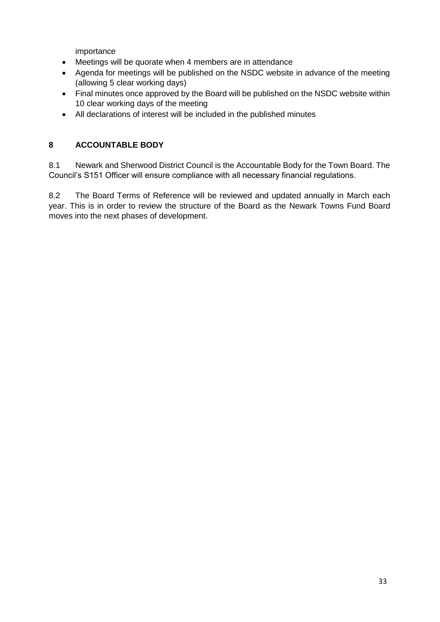importance

- Meetings will be quorate when 4 members are in attendance
- Agenda for meetings will be published on the NSDC website in advance of the meeting (allowing 5 clear working days)
- Final minutes once approved by the Board will be published on the NSDC website within 10 clear working days of the meeting
- All declarations of interest will be included in the published minutes

#### **8 ACCOUNTABLE BODY**

8.1 Newark and Sherwood District Council is the Accountable Body for the Town Board. The Council's S151 Officer will ensure compliance with all necessary financial regulations.

8.2 The Board Terms of Reference will be reviewed and updated annually in March each year. This is in order to review the structure of the Board as the Newark Towns Fund Board moves into the next phases of development.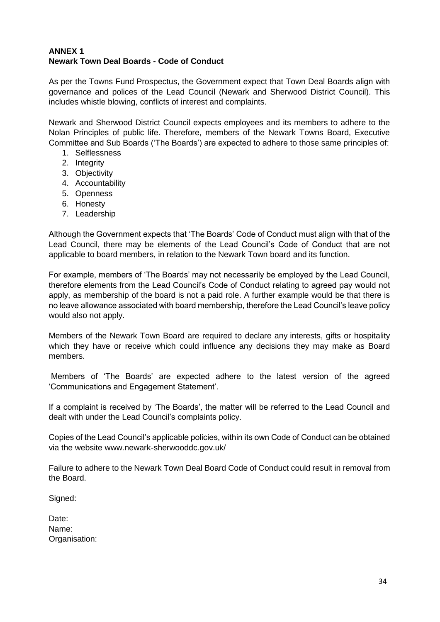#### **ANNEX 1 Newark Town Deal Boards - Code of Conduct**

As per the Towns Fund Prospectus, the Government expect that Town Deal Boards align with governance and polices of the Lead Council (Newark and Sherwood District Council). This includes whistle blowing, conflicts of interest and complaints.

Newark and Sherwood District Council expects employees and its members to adhere to the Nolan Principles of public life. Therefore, members of the Newark Towns Board, Executive Committee and Sub Boards ('The Boards') are expected to adhere to those same principles of:

- 1. Selflessness
- 2. Integrity
- 3. Objectivity
- 4. Accountability
- 5. Openness
- 6. Honesty
- 7. Leadership

Although the Government expects that 'The Boards' Code of Conduct must align with that of the Lead Council, there may be elements of the Lead Council's Code of Conduct that are not applicable to board members, in relation to the Newark Town board and its function.

For example, members of 'The Boards' may not necessarily be employed by the Lead Council, therefore elements from the Lead Council's Code of Conduct relating to agreed pay would not apply, as membership of the board is not a paid role. A further example would be that there is no leave allowance associated with board membership, therefore the Lead Council's leave policy would also not apply.

Members of the Newark Town Board are required to declare any interests, gifts or hospitality which they have or receive which could influence any decisions they may make as Board members.

Members of 'The Boards' are expected adhere to the latest version of the agreed 'Communications and Engagement Statement'.

If a complaint is received by 'The Boards', the matter will be referred to the Lead Council and dealt with under the Lead Council's complaints policy.

Copies of the Lead Council's applicable policies, within its own Code of Conduct can be obtained via the website www.newark-sherwooddc.gov.uk/

Failure to adhere to the Newark Town Deal Board Code of Conduct could result in removal from the Board.

Signed:

| Date:         |
|---------------|
| Name:         |
| Organisation: |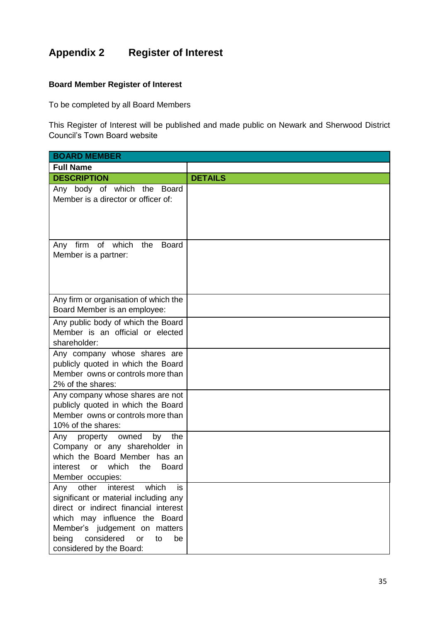## **Appendix 2 Register of Interest**

#### **Board Member Register of Interest**

To be completed by all Board Members

This Register of Interest will be published and made public on Newark and Sherwood District Council's Town Board website

| <b>BOARD MEMBER</b>                                                                                                                                                                                                                                              |                |  |
|------------------------------------------------------------------------------------------------------------------------------------------------------------------------------------------------------------------------------------------------------------------|----------------|--|
| <b>Full Name</b>                                                                                                                                                                                                                                                 |                |  |
| <b>DESCRIPTION</b>                                                                                                                                                                                                                                               | <b>DETAILS</b> |  |
| Any body of which the<br><b>Board</b><br>Member is a director or officer of:                                                                                                                                                                                     |                |  |
| of which<br>firm<br>the<br><b>Board</b><br>Any<br>Member is a partner:                                                                                                                                                                                           |                |  |
| Any firm or organisation of which the<br>Board Member is an employee:                                                                                                                                                                                            |                |  |
| Any public body of which the Board<br>Member is an official or elected<br>shareholder:                                                                                                                                                                           |                |  |
| Any company whose shares are<br>publicly quoted in which the Board<br>Member owns or controls more than<br>2% of the shares:                                                                                                                                     |                |  |
| Any company whose shares are not<br>publicly quoted in which the Board<br>Member owns or controls more than<br>10% of the shares:                                                                                                                                |                |  |
| Any<br>property<br>owned<br>the<br>by<br>Company or any shareholder in<br>which the Board Member has an<br>which<br>the<br>interest<br><b>Board</b><br>or<br>Member occupies:                                                                                    |                |  |
| Any<br>other<br>interest<br>which<br>is<br>significant or material including any<br>direct or indirect financial interest<br>which may influence the Board<br>Member's judgement on matters<br>considered<br>being<br>or<br>to<br>be<br>considered by the Board: |                |  |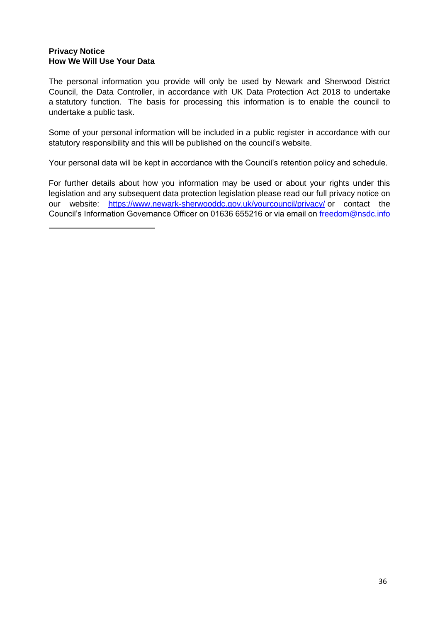#### **Privacy Notice How We Will Use Your Data**

The personal information you provide will only be used by Newark and Sherwood District Council, the Data Controller, in accordance with UK Data Protection Act 2018 to undertake a statutory function. The basis for processing this information is to enable the council to undertake a public task.

Some of your personal information will be included in a public register in accordance with our statutory responsibility and this will be published on the council's website.

Your personal data will be kept in accordance with the Council's retention policy and schedule.

For further details about how you information may be used or about your rights under this legislation and any subsequent data protection legislation please read our full privacy notice on our website: <https://www.newark-sherwooddc.gov.uk/yourcouncil/privacy/> or contact the Council's Information Governance Officer on 01636 655216 or via email on [freedom@nsdc.info](mailto:freedom@nsdc.info)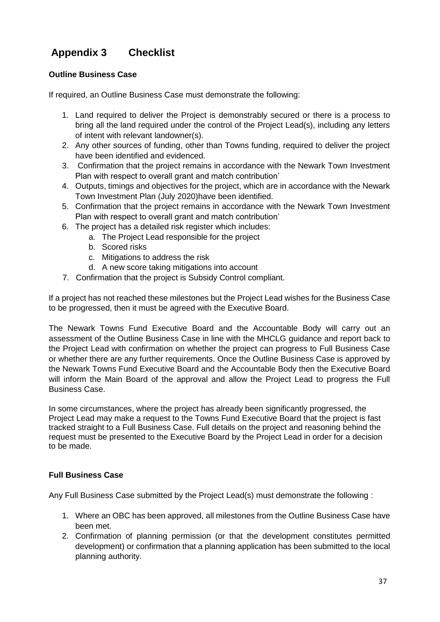## **Appendix 3 Checklist**

#### **Outline Business Case**

If required, an Outline Business Case must demonstrate the following:

- 1. Land required to deliver the Project is demonstrably secured or there is a process to bring all the land required under the control of the Project Lead(s), including any letters of intent with relevant landowner(s).
- 2. Any other sources of funding, other than Towns funding, required to deliver the project have been identified and evidenced.
- 3. Confirmation that the project remains in accordance with the Newark Town Investment Plan with respect to overall grant and match contribution'
- 4. Outputs, timings and objectives for the project, which are in accordance with the Newark Town Investment Plan (July 2020)have been identified.
- 5. Confirmation that the project remains in accordance with the Newark Town Investment Plan with respect to overall grant and match contribution'
- 6. The project has a detailed risk register which includes:
	- a. The Project Lead responsible for the project
	- b. Scored risks
	- c. Mitigations to address the risk
	- d. A new score taking mitigations into account
- 7. Confirmation that the project is Subsidy Control compliant.

If a project has not reached these milestones but the Project Lead wishes for the Business Case to be progressed, then it must be agreed with the Executive Board.

The Newark Towns Fund Executive Board and the Accountable Body will carry out an assessment of the Outline Business Case in line with the MHCLG guidance and report back to the Project Lead with confirmation on whether the project can progress to Full Business Case or whether there are any further requirements. Once the Outline Business Case is approved by the Newark Towns Fund Executive Board and the Accountable Body then the Executive Board will inform the Main Board of the approval and allow the Project Lead to progress the Full Business Case.

In some circumstances, where the project has already been significantly progressed, the Project Lead may make a request to the Towns Fund Executive Board that the project is fast tracked straight to a Full Business Case. Full details on the project and reasoning behind the request must be presented to the Executive Board by the Project Lead in order for a decision to be made.

#### **Full Business Case**

Any Full Business Case submitted by the Project Lead(s) must demonstrate the following :

- 1. Where an OBC has been approved, all milestones from the Outline Business Case have been met.
- 2. Confirmation of planning permission (or that the development constitutes permitted development) or confirmation that a planning application has been submitted to the local planning authority.